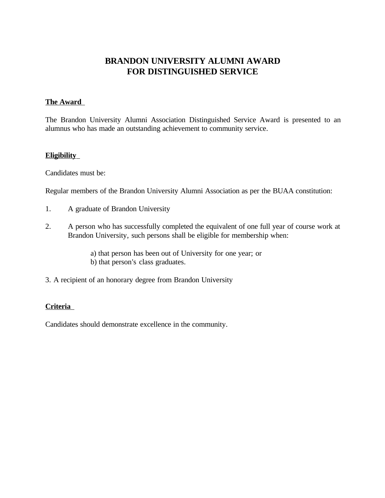# **BRANDON UNIVERSITY ALUMNI AWARD FOR DISTINGUISHED SERVICE**

### **The Award**

The Brandon University Alumni Association Distinguished Service Award is presented to an alumnus who has made an outstanding achievement to community service.

#### **Eligibility**

Candidates must be:

Regular members of the Brandon University Alumni Association as per the BUAA constitution:

- 1. A graduate of Brandon University
- 2. A person who has successfully completed the equivalent of one full year of course work at Brandon University, such persons shall be eligible for membership when:
	- a) that person has been out of University for one year; or b) that person's class graduates.
- 3. A recipient of an honorary degree from Brandon University

## **Criteria**

Candidates should demonstrate excellence in the community.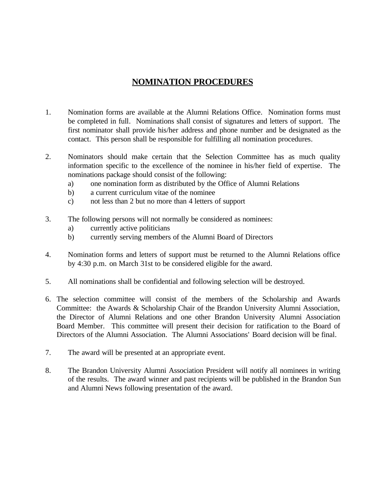# **NOMINATION PROCEDURES**

- 1. Nomination forms are available at the Alumni Relations Office. Nomination forms must be completed in full. Nominations shall consist of signatures and letters of support. The first nominator shall provide his/her address and phone number and be designated as the contact. This person shall be responsible for fulfilling all nomination procedures.
- 2. Nominators should make certain that the Selection Committee has as much quality information specific to the excellence of the nominee in his/her field of expertise. The nominations package should consist of the following:
	- a) one nomination form as distributed by the Office of Alumni Relations
	- b) a current curriculum vitae of the nominee
	- c) not less than 2 but no more than 4 letters of support
- 3. The following persons will not normally be considered as nominees:
	- a) currently active politicians
	- b) currently serving members of the Alumni Board of Directors
- 4. Nomination forms and letters of support must be returned to the Alumni Relations office by 4:30 p.m. on March 31st to be considered eligible for the award.
- 5. All nominations shall be confidential and following selection will be destroyed.
- 6. The selection committee will consist of the members of the Scholarship and Awards Committee: the Awards & Scholarship Chair of the Brandon University Alumni Association, the Director of Alumni Relations and one other Brandon University Alumni Association Board Member. This committee will present their decision for ratification to the Board of Directors of the Alumni Association. The Alumni Associations' Board decision will be final.
- 7. The award will be presented at an appropriate event.
- 8. The Brandon University Alumni Association President will notify all nominees in writing of the results. The award winner and past recipients will be published in the Brandon Sun and Alumni News following presentation of the award.